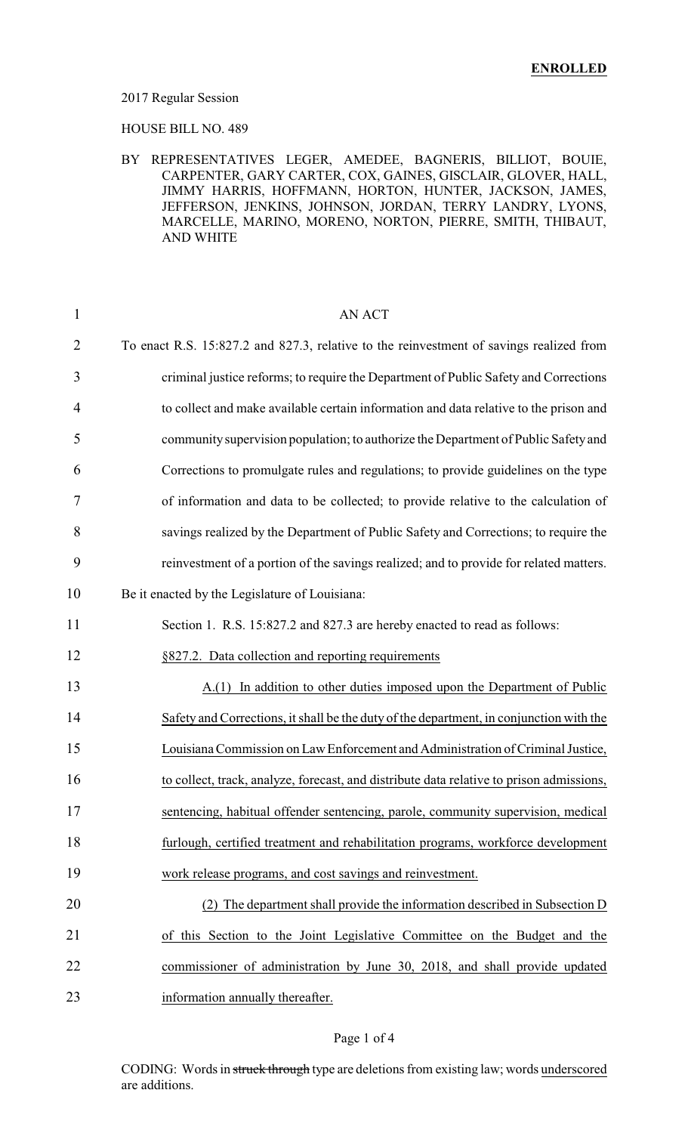#### 2017 Regular Session

HOUSE BILL NO. 489

#### BY REPRESENTATIVES LEGER, AMEDEE, BAGNERIS, BILLIOT, BOUIE, CARPENTER, GARY CARTER, COX, GAINES, GISCLAIR, GLOVER, HALL, JIMMY HARRIS, HOFFMANN, HORTON, HUNTER, JACKSON, JAMES, JEFFERSON, JENKINS, JOHNSON, JORDAN, TERRY LANDRY, LYONS, MARCELLE, MARINO, MORENO, NORTON, PIERRE, SMITH, THIBAUT, AND WHITE

| $\mathbf{1}$   | <b>AN ACT</b>                                                                            |
|----------------|------------------------------------------------------------------------------------------|
| $\overline{2}$ | To enact R.S. 15:827.2 and 827.3, relative to the reinvestment of savings realized from  |
| 3              | criminal justice reforms; to require the Department of Public Safety and Corrections     |
| 4              | to collect and make available certain information and data relative to the prison and    |
| 5              | community supervision population; to authorize the Department of Public Safety and       |
| 6              | Corrections to promulgate rules and regulations; to provide guidelines on the type       |
| 7              | of information and data to be collected; to provide relative to the calculation of       |
| 8              | savings realized by the Department of Public Safety and Corrections; to require the      |
| 9              | reinvestment of a portion of the savings realized; and to provide for related matters.   |
| 10             | Be it enacted by the Legislature of Louisiana:                                           |
| 11             | Section 1. R.S. 15:827.2 and 827.3 are hereby enacted to read as follows:                |
| 12             | §827.2. Data collection and reporting requirements                                       |
| 13             | A.(1) In addition to other duties imposed upon the Department of Public                  |
| 14             | Safety and Corrections, it shall be the duty of the department, in conjunction with the  |
| 15             | Louisiana Commission on Law Enforcement and Administration of Criminal Justice,          |
| 16             | to collect, track, analyze, forecast, and distribute data relative to prison admissions, |
| 17             | sentencing, habitual offender sentencing, parole, community supervision, medical         |
| 18             | furlough, certified treatment and rehabilitation programs, workforce development         |
| 19             | work release programs, and cost savings and reinvestment.                                |
| 20             | (2) The department shall provide the information described in Subsection D               |
| 21             | of this Section to the Joint Legislative Committee on the Budget and the                 |
| 22             | commissioner of administration by June 30, 2018, and shall provide updated               |
| 23             | information annually thereafter.                                                         |

### Page 1 of 4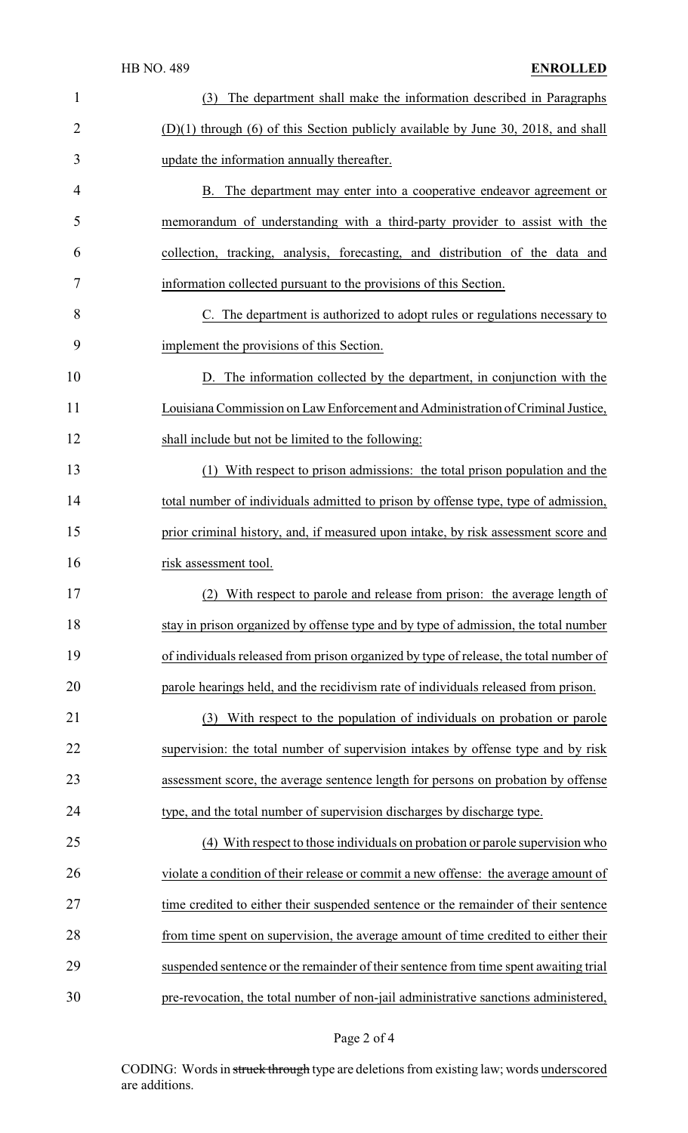## HB NO. 489 **ENROLLED**

| $\mathbf{1}$   | The department shall make the information described in Paragraphs<br>(3)              |
|----------------|---------------------------------------------------------------------------------------|
| $\overline{2}$ | $(D)(1)$ through $(6)$ of this Section publicly available by June 30, 2018, and shall |
| 3              | update the information annually thereafter.                                           |
| 4              | B. The department may enter into a cooperative endeavor agreement or                  |
| 5              | memorandum of understanding with a third-party provider to assist with the            |
| 6              | collection, tracking, analysis, forecasting, and distribution of the data and         |
| 7              | information collected pursuant to the provisions of this Section.                     |
| 8              | C. The department is authorized to adopt rules or regulations necessary to            |
| 9              | implement the provisions of this Section.                                             |
| 10             | D. The information collected by the department, in conjunction with the               |
| 11             | Louisiana Commission on Law Enforcement and Administration of Criminal Justice,       |
| 12             | shall include but not be limited to the following:                                    |
| 13             | (1) With respect to prison admissions: the total prison population and the            |
| 14             | total number of individuals admitted to prison by offense type, type of admission,    |
| 15             | prior criminal history, and, if measured upon intake, by risk assessment score and    |
| 16             | risk assessment tool.                                                                 |
| 17             | (2) With respect to parole and release from prison: the average length of             |
| 18             | stay in prison organized by offense type and by type of admission, the total number   |
| 19             | of individuals released from prison organized by type of release, the total number of |
| 20             | parole hearings held, and the recidivism rate of individuals released from prison.    |
| 21             | With respect to the population of individuals on probation or parole<br>(3)           |
| 22             | supervision: the total number of supervision intakes by offense type and by risk      |
| 23             | assessment score, the average sentence length for persons on probation by offense     |
| 24             | type, and the total number of supervision discharges by discharge type.               |
| 25             | (4) With respect to those individuals on probation or parole supervision who          |
| 26             | violate a condition of their release or commit a new offense: the average amount of   |
| 27             | time credited to either their suspended sentence or the remainder of their sentence   |
| 28             | from time spent on supervision, the average amount of time credited to either their   |
| 29             | suspended sentence or the remainder of their sentence from time spent awaiting trial  |
| 30             | pre-revocation, the total number of non-jail administrative sanctions administered,   |

# Page 2 of 4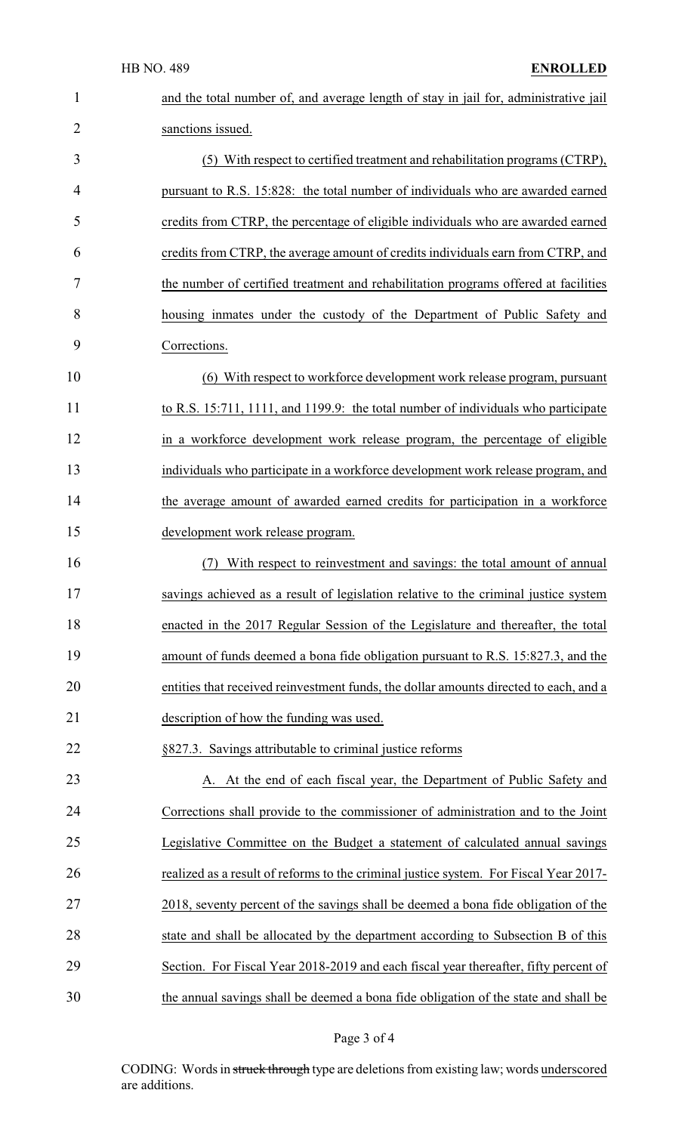| $\mathbf 1$    | and the total number of, and average length of stay in jail for, administrative jail  |
|----------------|---------------------------------------------------------------------------------------|
| $\overline{2}$ | sanctions issued.                                                                     |
| 3              | (5) With respect to certified treatment and rehabilitation programs (CTRP),           |
| 4              | pursuant to R.S. 15:828: the total number of individuals who are awarded earned       |
| 5              | credits from CTRP, the percentage of eligible individuals who are awarded earned      |
| 6              | credits from CTRP, the average amount of credits individuals earn from CTRP, and      |
| 7              | the number of certified treatment and rehabilitation programs offered at facilities   |
| 8              | housing inmates under the custody of the Department of Public Safety and              |
| 9              | Corrections.                                                                          |
| 10             | (6) With respect to workforce development work release program, pursuant              |
| 11             | to R.S. 15:711, 1111, and 1199.9: the total number of individuals who participate     |
| 12             | in a workforce development work release program, the percentage of eligible           |
| 13             | individuals who participate in a workforce development work release program, and      |
| 14             | the average amount of awarded earned credits for participation in a workforce         |
| 15             | development work release program.                                                     |
| 16             | With respect to reinvestment and savings: the total amount of annual<br>(7)           |
| 17             | savings achieved as a result of legislation relative to the criminal justice system   |
| 18             | enacted in the 2017 Regular Session of the Legislature and thereafter, the total      |
| 19             | amount of funds deemed a bona fide obligation pursuant to R.S. 15:827.3, and the      |
| 20             | entities that received reinvestment funds, the dollar amounts directed to each, and a |
| 21             | description of how the funding was used.                                              |
| 22             | §827.3. Savings attributable to criminal justice reforms                              |
| 23             | A. At the end of each fiscal year, the Department of Public Safety and                |
| 24             | Corrections shall provide to the commissioner of administration and to the Joint      |
| 25             | Legislative Committee on the Budget a statement of calculated annual savings          |
| 26             | realized as a result of reforms to the criminal justice system. For Fiscal Year 2017- |
| 27             | 2018, seventy percent of the savings shall be deemed a bona fide obligation of the    |
| 28             | state and shall be allocated by the department according to Subsection B of this      |
| 29             | Section. For Fiscal Year 2018-2019 and each fiscal year thereafter, fifty percent of  |
| 30             | the annual savings shall be deemed a bona fide obligation of the state and shall be   |

# Page 3 of 4